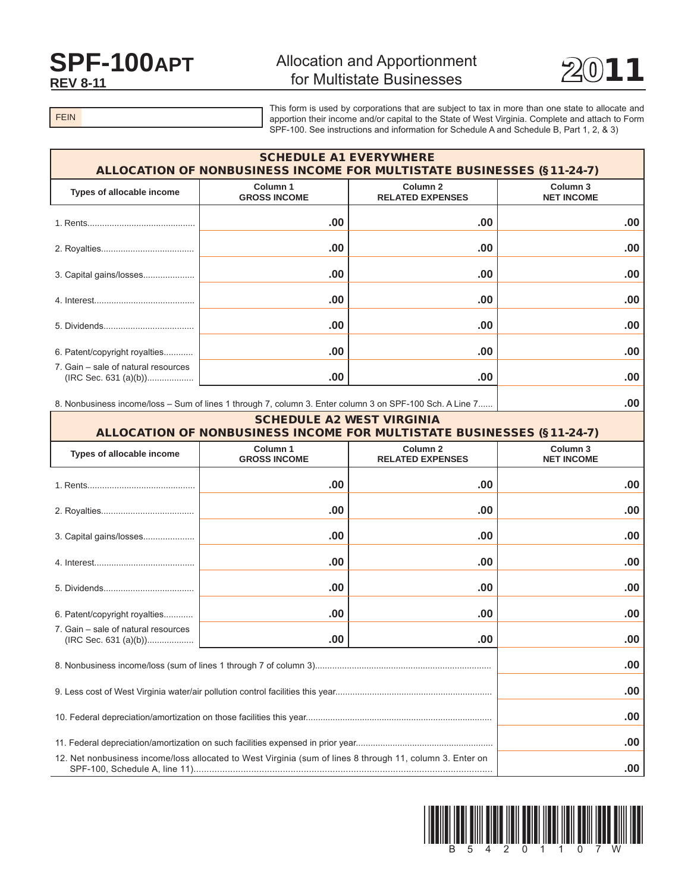## **SPF-100APT REV 8-11**

## **Allocation and Apportionment** for Multistate Businesses



 $.00\vert$ 

**FEIN** 

This form is used by corporations that are subject to tax in more than one state to allocate and apportion their income and/or capital to the State of West Virginia. Complete and attach to Form SPF-100. See instructions and information for Schedule A and Schedule B, Part 1, 2, & 3)

| <b>SCHEDULE A1 EVERYWHERE</b><br>ALLOCATION OF NONBUSINESS INCOME FOR MULTISTATE BUSINESSES (§11-24-7) |                                                |                               |  |  |  |
|--------------------------------------------------------------------------------------------------------|------------------------------------------------|-------------------------------|--|--|--|
| Column 1<br><b>GROSS INCOME</b>                                                                        | Column <sub>2</sub><br><b>RELATED EXPENSES</b> | Column 3<br><b>NET INCOME</b> |  |  |  |
| .00.                                                                                                   | .00                                            | $.00 \,$                      |  |  |  |
| .00                                                                                                    | .00                                            | .00                           |  |  |  |
| .00                                                                                                    | .00                                            | .00.                          |  |  |  |
| .00                                                                                                    | .00                                            | .00.                          |  |  |  |
| .00.                                                                                                   | .00                                            | .00                           |  |  |  |
| .00.                                                                                                   | .00                                            | .00                           |  |  |  |
| .00                                                                                                    | .00                                            | .00.                          |  |  |  |
|                                                                                                        |                                                |                               |  |  |  |

8. Nonbusiness income/loss - Sum of lines 1 through 7, column 3. Enter column 3 on SPF-100 Sch. A Line 7......

| <b>SCHEDULE A2 WEST VIRGINIA</b><br>ALLOCATION OF NONBUSINESS INCOME FOR MULTISTATE BUSINESSES (§11-24-7)                                          |                                 |                                                |                                          |  |  |
|----------------------------------------------------------------------------------------------------------------------------------------------------|---------------------------------|------------------------------------------------|------------------------------------------|--|--|
| Types of allocable income                                                                                                                          | Column 1<br><b>GROSS INCOME</b> | Column <sub>2</sub><br><b>RELATED EXPENSES</b> | Column <sub>3</sub><br><b>NET INCOME</b> |  |  |
|                                                                                                                                                    | .00                             | .00                                            | .00                                      |  |  |
|                                                                                                                                                    | .00                             | .00                                            | .00                                      |  |  |
| 3. Capital gains/losses                                                                                                                            | .00                             | .00                                            | .00                                      |  |  |
|                                                                                                                                                    | .00                             | .00                                            | .00                                      |  |  |
|                                                                                                                                                    | .00                             | .00                                            | .00                                      |  |  |
| 6. Patent/copyright royalties                                                                                                                      | .00                             | .00                                            | .00                                      |  |  |
| 7. Gain – sale of natural resources                                                                                                                | .00                             | .00                                            | .00                                      |  |  |
|                                                                                                                                                    |                                 |                                                | .00                                      |  |  |
|                                                                                                                                                    |                                 |                                                | .00                                      |  |  |
|                                                                                                                                                    |                                 |                                                | .00                                      |  |  |
|                                                                                                                                                    |                                 |                                                | .00                                      |  |  |
| 12. Net nonbusiness income/loss allocated to West Virginia (sum of lines 8 through 11, column 3. Enter on<br>$SPE-100$ Schedule A $\text{line }11$ |                                 |                                                | 00                                       |  |  |